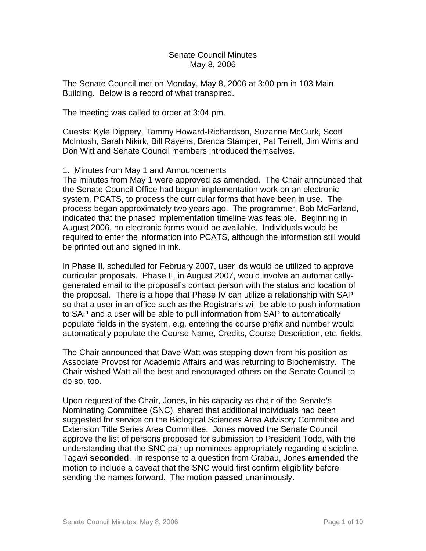## Senate Council Minutes May 8, 2006

The Senate Council met on Monday, May 8, 2006 at 3:00 pm in 103 Main Building. Below is a record of what transpired.

The meeting was called to order at 3:04 pm.

Guests: Kyle Dippery, Tammy Howard-Richardson, Suzanne McGurk, Scott McIntosh, Sarah Nikirk, Bill Rayens, Brenda Stamper, Pat Terrell, Jim Wims and Don Witt and Senate Council members introduced themselves.

## 1. Minutes from May 1 and Announcements

The minutes from May 1 were approved as amended. The Chair announced that the Senate Council Office had begun implementation work on an electronic system, PCATS, to process the curricular forms that have been in use. The process began approximately two years ago. The programmer, Bob McFarland, indicated that the phased implementation timeline was feasible. Beginning in August 2006, no electronic forms would be available. Individuals would be required to enter the information into PCATS, although the information still would be printed out and signed in ink.

In Phase II, scheduled for February 2007, user ids would be utilized to approve curricular proposals. Phase II, in August 2007, would involve an automaticallygenerated email to the proposal's contact person with the status and location of the proposal. There is a hope that Phase IV can utilize a relationship with SAP so that a user in an office such as the Registrar's will be able to push information to SAP and a user will be able to pull information from SAP to automatically populate fields in the system, e.g. entering the course prefix and number would automatically populate the Course Name, Credits, Course Description, etc. fields.

The Chair announced that Dave Watt was stepping down from his position as Associate Provost for Academic Affairs and was returning to Biochemistry. The Chair wished Watt all the best and encouraged others on the Senate Council to do so, too.

Upon request of the Chair, Jones, in his capacity as chair of the Senate's Nominating Committee (SNC), shared that additional individuals had been suggested for service on the Biological Sciences Area Advisory Committee and Extension Title Series Area Committee. Jones **moved** the Senate Council approve the list of persons proposed for submission to President Todd, with the understanding that the SNC pair up nominees appropriately regarding discipline. Tagavi **seconded**. In response to a question from Grabau, Jones **amended** the motion to include a caveat that the SNC would first confirm eligibility before sending the names forward. The motion **passed** unanimously.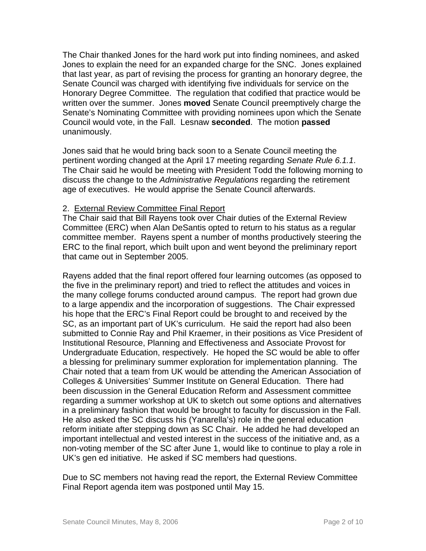The Chair thanked Jones for the hard work put into finding nominees, and asked Jones to explain the need for an expanded charge for the SNC. Jones explained that last year, as part of revising the process for granting an honorary degree, the Senate Council was charged with identifying five individuals for service on the Honorary Degree Committee. The regulation that codified that practice would be written over the summer. Jones **moved** Senate Council preemptively charge the Senate's Nominating Committee with providing nominees upon which the Senate Council would vote, in the Fall. Lesnaw **seconded**. The motion **passed** unanimously.

Jones said that he would bring back soon to a Senate Council meeting the pertinent wording changed at the April 17 meeting regarding *Senate Rule 6.1.1*. The Chair said he would be meeting with President Todd the following morning to discuss the change to the *Administrative Regulations* regarding the retirement age of executives. He would apprise the Senate Council afterwards.

# 2. External Review Committee Final Report

The Chair said that Bill Rayens took over Chair duties of the External Review Committee (ERC) when Alan DeSantis opted to return to his status as a regular committee member. Rayens spent a number of months productively steering the ERC to the final report, which built upon and went beyond the preliminary report that came out in September 2005.

Rayens added that the final report offered four learning outcomes (as opposed to the five in the preliminary report) and tried to reflect the attitudes and voices in the many college forums conducted around campus. The report had grown due to a large appendix and the incorporation of suggestions. The Chair expressed his hope that the ERC's Final Report could be brought to and received by the SC, as an important part of UK's curriculum. He said the report had also been submitted to Connie Ray and Phil Kraemer, in their positions as Vice President of Institutional Resource, Planning and Effectiveness and Associate Provost for Undergraduate Education, respectively. He hoped the SC would be able to offer a blessing for preliminary summer exploration for implementation planning. The Chair noted that a team from UK would be attending the American Association of Colleges & Universities' Summer Institute on General Education. There had been discussion in the General Education Reform and Assessment committee regarding a summer workshop at UK to sketch out some options and alternatives in a preliminary fashion that would be brought to faculty for discussion in the Fall. He also asked the SC discuss his (Yanarella's) role in the general education reform initiate after stepping down as SC Chair. He added he had developed an important intellectual and vested interest in the success of the initiative and, as a non-voting member of the SC after June 1, would like to continue to play a role in UK's gen ed initiative. He asked if SC members had questions.

Due to SC members not having read the report, the External Review Committee Final Report agenda item was postponed until May 15.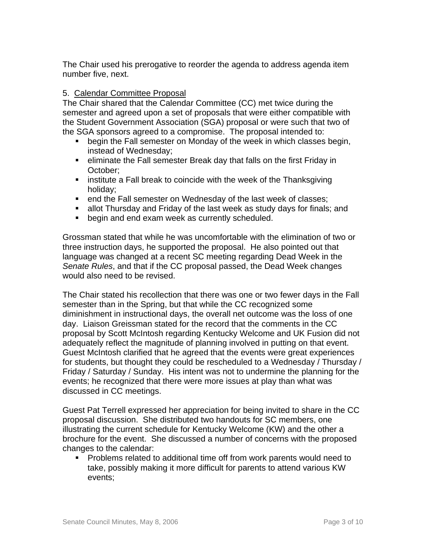The Chair used his prerogative to reorder the agenda to address agenda item number five, next.

# 5. Calendar Committee Proposal

The Chair shared that the Calendar Committee (CC) met twice during the semester and agreed upon a set of proposals that were either compatible with the Student Government Association (SGA) proposal or were such that two of the SGA sponsors agreed to a compromise. The proposal intended to:

- **•** begin the Fall semester on Monday of the week in which classes begin, instead of Wednesday;
- eliminate the Fall semester Break day that falls on the first Friday in October;
- **EXT** institute a Fall break to coincide with the week of the Thanksgiving holiday;
- **EXECT** end the Fall semester on Wednesday of the last week of classes;
- allot Thursday and Friday of the last week as study days for finals; and
- **•** begin and end exam week as currently scheduled.

Grossman stated that while he was uncomfortable with the elimination of two or three instruction days, he supported the proposal. He also pointed out that language was changed at a recent SC meeting regarding Dead Week in the *Senate Rules*, and that if the CC proposal passed, the Dead Week changes would also need to be revised.

The Chair stated his recollection that there was one or two fewer days in the Fall semester than in the Spring, but that while the CC recognized some diminishment in instructional days, the overall net outcome was the loss of one day. Liaison Greissman stated for the record that the comments in the CC proposal by Scott McIntosh regarding Kentucky Welcome and UK Fusion did not adequately reflect the magnitude of planning involved in putting on that event. Guest McIntosh clarified that he agreed that the events were great experiences for students, but thought they could be rescheduled to a Wednesday / Thursday / Friday / Saturday / Sunday. His intent was not to undermine the planning for the events; he recognized that there were more issues at play than what was discussed in CC meetings.

Guest Pat Terrell expressed her appreciation for being invited to share in the CC proposal discussion. She distributed two handouts for SC members, one illustrating the current schedule for Kentucky Welcome (KW) and the other a brochure for the event. She discussed a number of concerns with the proposed changes to the calendar:

 Problems related to additional time off from work parents would need to take, possibly making it more difficult for parents to attend various KW events;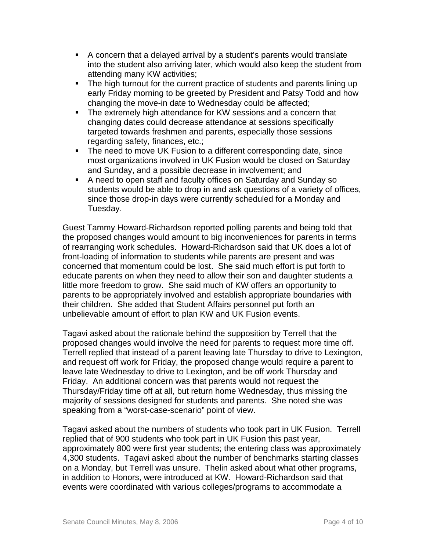- A concern that a delayed arrival by a student's parents would translate into the student also arriving later, which would also keep the student from attending many KW activities;
- The high turnout for the current practice of students and parents lining up early Friday morning to be greeted by President and Patsy Todd and how changing the move-in date to Wednesday could be affected;
- The extremely high attendance for KW sessions and a concern that changing dates could decrease attendance at sessions specifically targeted towards freshmen and parents, especially those sessions regarding safety, finances, etc.;
- The need to move UK Fusion to a different corresponding date, since most organizations involved in UK Fusion would be closed on Saturday and Sunday, and a possible decrease in involvement; and
- A need to open staff and faculty offices on Saturday and Sunday so students would be able to drop in and ask questions of a variety of offices, since those drop-in days were currently scheduled for a Monday and Tuesday.

Guest Tammy Howard-Richardson reported polling parents and being told that the proposed changes would amount to big inconveniences for parents in terms of rearranging work schedules. Howard-Richardson said that UK does a lot of front-loading of information to students while parents are present and was concerned that momentum could be lost. She said much effort is put forth to educate parents on when they need to allow their son and daughter students a little more freedom to grow. She said much of KW offers an opportunity to parents to be appropriately involved and establish appropriate boundaries with their children. She added that Student Affairs personnel put forth an unbelievable amount of effort to plan KW and UK Fusion events.

Tagavi asked about the rationale behind the supposition by Terrell that the proposed changes would involve the need for parents to request more time off. Terrell replied that instead of a parent leaving late Thursday to drive to Lexington, and request off work for Friday, the proposed change would require a parent to leave late Wednesday to drive to Lexington, and be off work Thursday and Friday. An additional concern was that parents would not request the Thursday/Friday time off at all, but return home Wednesday, thus missing the majority of sessions designed for students and parents. She noted she was speaking from a "worst-case-scenario" point of view.

Tagavi asked about the numbers of students who took part in UK Fusion. Terrell replied that of 900 students who took part in UK Fusion this past year, approximately 800 were first year students; the entering class was approximately 4,300 students. Tagavi asked about the number of benchmarks starting classes on a Monday, but Terrell was unsure. Thelin asked about what other programs, in addition to Honors, were introduced at KW. Howard-Richardson said that events were coordinated with various colleges/programs to accommodate a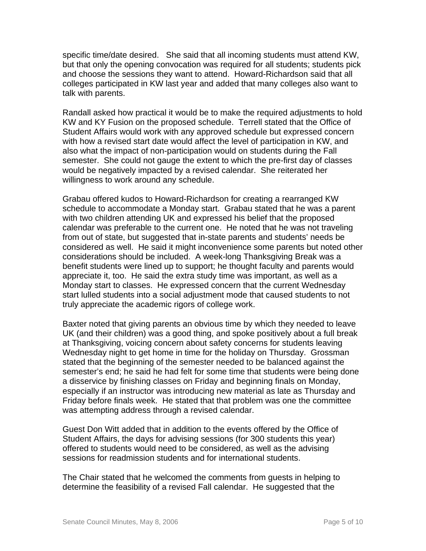specific time/date desired. She said that all incoming students must attend KW, but that only the opening convocation was required for all students; students pick and choose the sessions they want to attend. Howard-Richardson said that all colleges participated in KW last year and added that many colleges also want to talk with parents.

Randall asked how practical it would be to make the required adjustments to hold KW and KY Fusion on the proposed schedule. Terrell stated that the Office of Student Affairs would work with any approved schedule but expressed concern with how a revised start date would affect the level of participation in KW, and also what the impact of non-participation would on students during the Fall semester. She could not gauge the extent to which the pre-first day of classes would be negatively impacted by a revised calendar. She reiterated her willingness to work around any schedule.

Grabau offered kudos to Howard-Richardson for creating a rearranged KW schedule to accommodate a Monday start. Grabau stated that he was a parent with two children attending UK and expressed his belief that the proposed calendar was preferable to the current one. He noted that he was not traveling from out of state, but suggested that in-state parents and students' needs be considered as well. He said it might inconvenience some parents but noted other considerations should be included. A week-long Thanksgiving Break was a benefit students were lined up to support; he thought faculty and parents would appreciate it, too. He said the extra study time was important, as well as a Monday start to classes. He expressed concern that the current Wednesday start lulled students into a social adjustment mode that caused students to not truly appreciate the academic rigors of college work.

Baxter noted that giving parents an obvious time by which they needed to leave UK (and their children) was a good thing, and spoke positively about a full break at Thanksgiving, voicing concern about safety concerns for students leaving Wednesday night to get home in time for the holiday on Thursday. Grossman stated that the beginning of the semester needed to be balanced against the semester's end; he said he had felt for some time that students were being done a disservice by finishing classes on Friday and beginning finals on Monday, especially if an instructor was introducing new material as late as Thursday and Friday before finals week. He stated that that problem was one the committee was attempting address through a revised calendar.

Guest Don Witt added that in addition to the events offered by the Office of Student Affairs, the days for advising sessions (for 300 students this year) offered to students would need to be considered, as well as the advising sessions for readmission students and for international students.

The Chair stated that he welcomed the comments from guests in helping to determine the feasibility of a revised Fall calendar. He suggested that the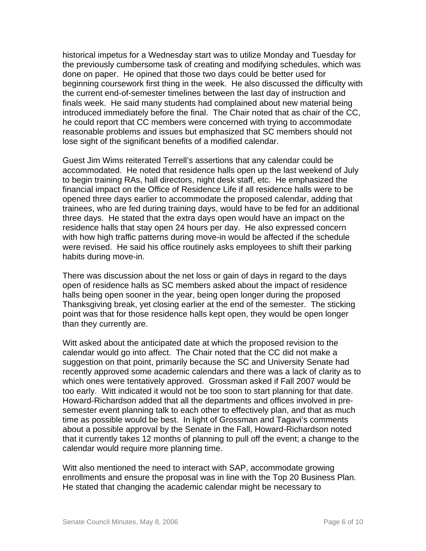historical impetus for a Wednesday start was to utilize Monday and Tuesday for the previously cumbersome task of creating and modifying schedules, which was done on paper. He opined that those two days could be better used for beginning coursework first thing in the week. He also discussed the difficulty with the current end-of-semester timelines between the last day of instruction and finals week. He said many students had complained about new material being introduced immediately before the final. The Chair noted that as chair of the CC, he could report that CC members were concerned with trying to accommodate reasonable problems and issues but emphasized that SC members should not lose sight of the significant benefits of a modified calendar.

Guest Jim Wims reiterated Terrell's assertions that any calendar could be accommodated. He noted that residence halls open up the last weekend of July to begin training RAs, hall directors, night desk staff, etc. He emphasized the financial impact on the Office of Residence Life if all residence halls were to be opened three days earlier to accommodate the proposed calendar, adding that trainees, who are fed during training days, would have to be fed for an additional three days. He stated that the extra days open would have an impact on the residence halls that stay open 24 hours per day. He also expressed concern with how high traffic patterns during move-in would be affected if the schedule were revised. He said his office routinely asks employees to shift their parking habits during move-in.

There was discussion about the net loss or gain of days in regard to the days open of residence halls as SC members asked about the impact of residence halls being open sooner in the year, being open longer during the proposed Thanksgiving break, yet closing earlier at the end of the semester. The sticking point was that for those residence halls kept open, they would be open longer than they currently are.

Witt asked about the anticipated date at which the proposed revision to the calendar would go into affect. The Chair noted that the CC did not make a suggestion on that point, primarily because the SC and University Senate had recently approved some academic calendars and there was a lack of clarity as to which ones were tentatively approved. Grossman asked if Fall 2007 would be too early. Witt indicated it would not be too soon to start planning for that date. Howard-Richardson added that all the departments and offices involved in presemester event planning talk to each other to effectively plan, and that as much time as possible would be best. In light of Grossman and Tagavi's comments about a possible approval by the Senate in the Fall, Howard-Richardson noted that it currently takes 12 months of planning to pull off the event; a change to the calendar would require more planning time.

Witt also mentioned the need to interact with SAP, accommodate growing enrollments and ensure the proposal was in line with the Top 20 Business Plan. He stated that changing the academic calendar might be necessary to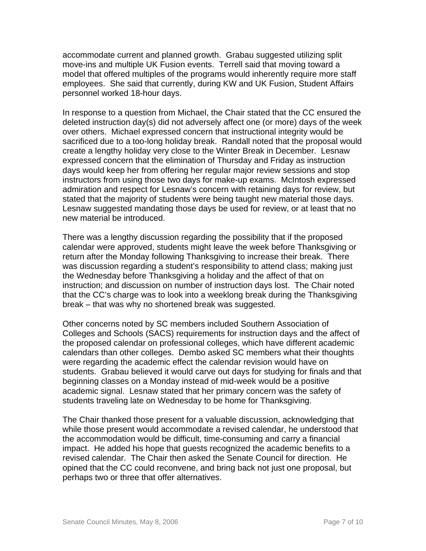accommodate current and planned growth. Grabau suggested utilizing split move-ins and multiple UK Fusion events. Terrell said that moving toward a model that offered multiples of the programs would inherently require more staff employees. She said that currently, during KW and UK Fusion, Student Affairs personnel worked 18-hour days.

In response to a question from Michael, the Chair stated that the CC ensured the deleted instruction day(s) did not adversely affect one (or more) days of the week over others. Michael expressed concern that instructional integrity would be sacrificed due to a too-long holiday break. Randall noted that the proposal would create a lengthy holiday very close to the Winter Break in December. Lesnaw expressed concern that the elimination of Thursday and Friday as instruction days would keep her from offering her regular major review sessions and stop instructors from using those two days for make-up exams. McIntosh expressed admiration and respect for Lesnaw's concern with retaining days for review, but stated that the majority of students were being taught new material those days. Lesnaw suggested mandating those days be used for review, or at least that no new material be introduced.

There was a lengthy discussion regarding the possibility that if the proposed calendar were approved, students might leave the week before Thanksgiving or return after the Monday following Thanksgiving to increase their break. There was discussion regarding a student's responsibility to attend class; making just the Wednesday before Thanksgiving a holiday and the affect of that on instruction; and discussion on number of instruction days lost. The Chair noted that the CC's charge was to look into a weeklong break during the Thanksgiving break – that was why no shortened break was suggested.

Other concerns noted by SC members included Southern Association of Colleges and Schools (SACS) requirements for instruction days and the affect of the proposed calendar on professional colleges, which have different academic calendars than other colleges. Dembo asked SC members what their thoughts were regarding the academic effect the calendar revision would have on students. Grabau believed it would carve out days for studying for finals and that beginning classes on a Monday instead of mid-week would be a positive academic signal. Lesnaw stated that her primary concern was the safety of students traveling late on Wednesday to be home for Thanksgiving.

The Chair thanked those present for a valuable discussion, acknowledging that while those present would accommodate a revised calendar, he understood that the accommodation would be difficult, time-consuming and carry a financial impact. He added his hope that guests recognized the academic benefits to a revised calendar. The Chair then asked the Senate Council for direction. He opined that the CC could reconvene, and bring back not just one proposal, but perhaps two or three that offer alternatives.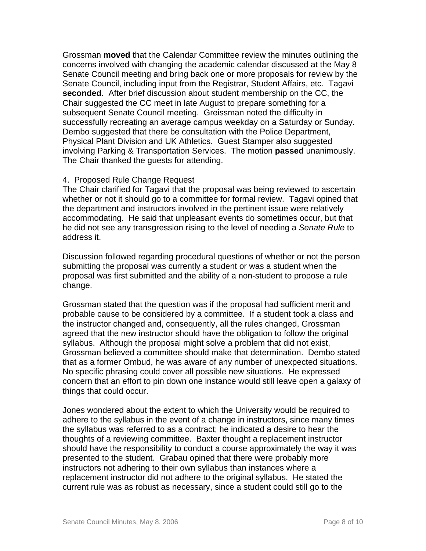Grossman **moved** that the Calendar Committee review the minutes outlining the concerns involved with changing the academic calendar discussed at the May 8 Senate Council meeting and bring back one or more proposals for review by the Senate Council, including input from the Registrar, Student Affairs, etc. Tagavi **seconded**. After brief discussion about student membership on the CC, the Chair suggested the CC meet in late August to prepare something for a subsequent Senate Council meeting. Greissman noted the difficulty in successfully recreating an average campus weekday on a Saturday or Sunday. Dembo suggested that there be consultation with the Police Department, Physical Plant Division and UK Athletics. Guest Stamper also suggested involving Parking & Transportation Services. The motion **passed** unanimously. The Chair thanked the guests for attending.

# 4. Proposed Rule Change Request

The Chair clarified for Tagavi that the proposal was being reviewed to ascertain whether or not it should go to a committee for formal review. Tagavi opined that the department and instructors involved in the pertinent issue were relatively accommodating. He said that unpleasant events do sometimes occur, but that he did not see any transgression rising to the level of needing a *Senate Rule* to address it.

Discussion followed regarding procedural questions of whether or not the person submitting the proposal was currently a student or was a student when the proposal was first submitted and the ability of a non-student to propose a rule change.

Grossman stated that the question was if the proposal had sufficient merit and probable cause to be considered by a committee. If a student took a class and the instructor changed and, consequently, all the rules changed, Grossman agreed that the new instructor should have the obligation to follow the original syllabus. Although the proposal might solve a problem that did not exist, Grossman believed a committee should make that determination. Dembo stated that as a former Ombud, he was aware of any number of unexpected situations. No specific phrasing could cover all possible new situations. He expressed concern that an effort to pin down one instance would still leave open a galaxy of things that could occur.

Jones wondered about the extent to which the University would be required to adhere to the syllabus in the event of a change in instructors, since many times the syllabus was referred to as a contract; he indicated a desire to hear the thoughts of a reviewing committee. Baxter thought a replacement instructor should have the responsibility to conduct a course approximately the way it was presented to the student. Grabau opined that there were probably more instructors not adhering to their own syllabus than instances where a replacement instructor did not adhere to the original syllabus. He stated the current rule was as robust as necessary, since a student could still go to the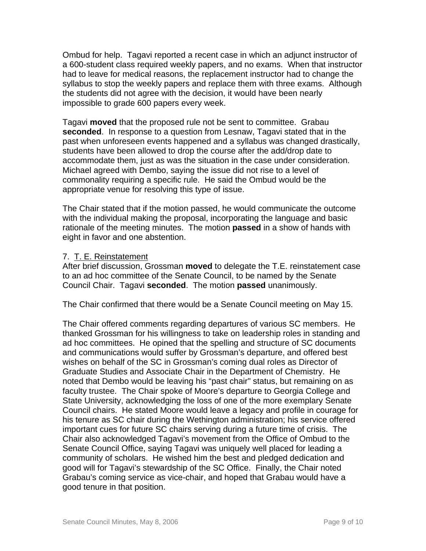Ombud for help. Tagavi reported a recent case in which an adjunct instructor of a 600-student class required weekly papers, and no exams. When that instructor had to leave for medical reasons, the replacement instructor had to change the syllabus to stop the weekly papers and replace them with three exams. Although the students did not agree with the decision, it would have been nearly impossible to grade 600 papers every week.

Tagavi **moved** that the proposed rule not be sent to committee. Grabau **seconded**. In response to a question from Lesnaw, Tagavi stated that in the past when unforeseen events happened and a syllabus was changed drastically, students have been allowed to drop the course after the add/drop date to accommodate them, just as was the situation in the case under consideration. Michael agreed with Dembo, saying the issue did not rise to a level of commonality requiring a specific rule. He said the Ombud would be the appropriate venue for resolving this type of issue.

The Chair stated that if the motion passed, he would communicate the outcome with the individual making the proposal, incorporating the language and basic rationale of the meeting minutes. The motion **passed** in a show of hands with eight in favor and one abstention.

## 7. T. E. Reinstatement

After brief discussion, Grossman **moved** to delegate the T.E. reinstatement case to an ad hoc committee of the Senate Council, to be named by the Senate Council Chair. Tagavi **seconded**. The motion **passed** unanimously.

The Chair confirmed that there would be a Senate Council meeting on May 15.

The Chair offered comments regarding departures of various SC members. He thanked Grossman for his willingness to take on leadership roles in standing and ad hoc committees. He opined that the spelling and structure of SC documents and communications would suffer by Grossman's departure, and offered best wishes on behalf of the SC in Grossman's coming dual roles as Director of Graduate Studies and Associate Chair in the Department of Chemistry. He noted that Dembo would be leaving his "past chair" status, but remaining on as faculty trustee. The Chair spoke of Moore's departure to Georgia College and State University, acknowledging the loss of one of the more exemplary Senate Council chairs. He stated Moore would leave a legacy and profile in courage for his tenure as SC chair during the Wethington administration; his service offered important cues for future SC chairs serving during a future time of crisis. The Chair also acknowledged Tagavi's movement from the Office of Ombud to the Senate Council Office, saying Tagavi was uniquely well placed for leading a community of scholars. He wished him the best and pledged dedication and good will for Tagavi's stewardship of the SC Office. Finally, the Chair noted Grabau's coming service as vice-chair, and hoped that Grabau would have a good tenure in that position.